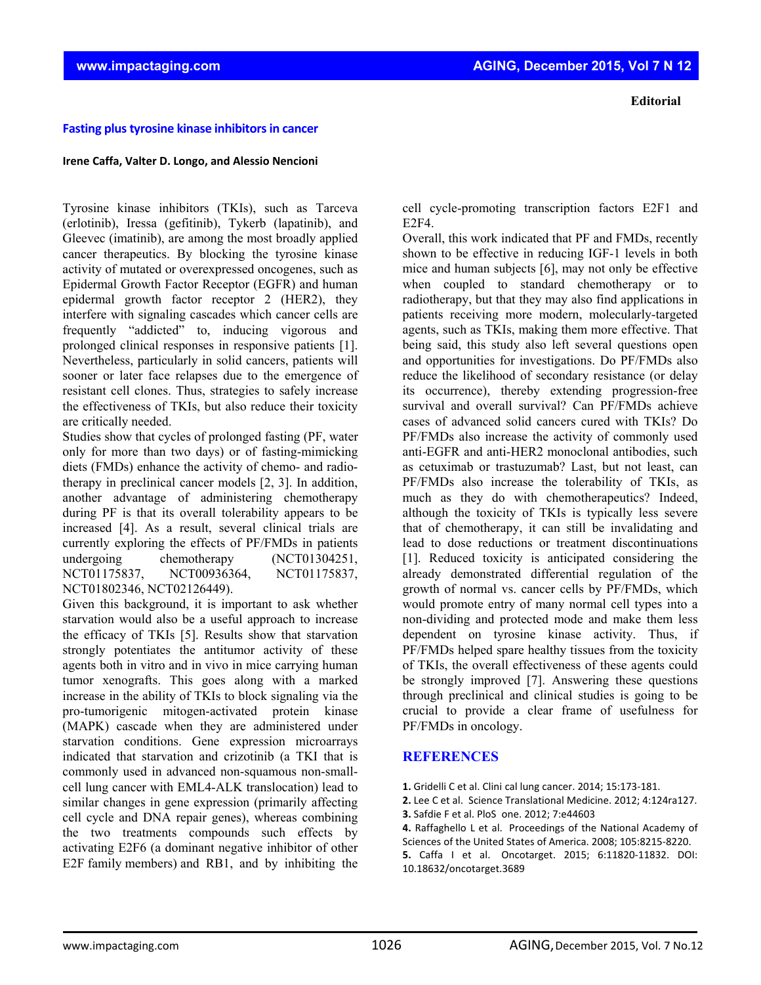## **Editorial**

## **Fasting plus tyrosine kinase inhibitors in cancer**

## **Irene Caffa, Valter D. Longo, and Alessio Nencioni**

Tyrosine kinase inhibitors (TKIs), such as Tarceva (erlotinib), Iressa (gefitinib), Tykerb (lapatinib), and Gleevec (imatinib), are among the most broadly applied cancer therapeutics. By blocking the tyrosine kinase activity of mutated or overexpressed oncogenes, such as Epidermal Growth Factor Receptor (EGFR) and human epidermal growth factor receptor 2 (HER2), they interfere with signaling cascades which cancer cells are frequently "addicted" to, inducing vigorous and prolonged clinical responses in responsive patients [1]. Nevertheless, particularly in solid cancers, patients will sooner or later face relapses due to the emergence of resistant cell clones. Thus, strategies to safely increase the effectiveness of TKIs, but also reduce their toxicity are critically needed.

Studies show that cycles of prolonged fasting (PF, water only for more than two days) or of fasting-mimicking diets (FMDs) enhance the activity of chemo- and radiotherapy in preclinical cancer models [2, 3]. In addition, another advantage of administering chemotherapy during PF is that its overall tolerability appears to be increased [4]. As a result, several clinical trials are currently exploring the effects of PF/FMDs in patients undergoing chemotherapy (NCT01304251, NCT01175837, NCT00936364, NCT01175837, NCT01802346, NCT02126449).

Given this background, it is important to ask whether starvation would also be a useful approach to increase the efficacy of TKIs [5]. Results show that starvation strongly potentiates the antitumor activity of these agents both in vitro and in vivo in mice carrying human tumor xenografts. This goes along with a marked increase in the ability of TKIs to block signaling via the pro-tumorigenic mitogen-activated protein kinase (MAPK) cascade when they are administered under starvation conditions. Gene expression microarrays indicated that starvation and crizotinib (a TKI that is commonly used in advanced non-squamous non-smallcell lung cancer with EML4-ALK translocation) lead to similar changes in gene expression (primarily affecting cell cycle and DNA repair genes), whereas combining the two treatments compounds such effects by activating E2F6 (a dominant negative inhibitor of other E2F family members) and RB1, and by inhibiting the

cell cycle-promoting transcription factors E2F1 and E2F4.

Overall, this work indicated that PF and FMDs, recently shown to be effective in reducing IGF-1 levels in both mice and human subjects [6], may not only be effective when coupled to standard chemotherapy or to radiotherapy, but that they may also find applications in patients receiving more modern, molecularly-targeted agents, such as TKIs, making them more effective. That being said, this study also left several questions open and opportunities for investigations. Do PF/FMDs also reduce the likelihood of secondary resistance (or delay its occurrence), thereby extending progression-free survival and overall survival? Can PF/FMDs achieve cases of advanced solid cancers cured with TKIs? Do PF/FMDs also increase the activity of commonly used anti-EGFR and anti-HER2 monoclonal antibodies, such as cetuximab or trastuzumab? Last, but not least, can PF/FMDs also increase the tolerability of TKIs, as much as they do with chemotherapeutics? Indeed, although the toxicity of TKIs is typically less severe that of chemotherapy, it can still be invalidating and lead to dose reductions or treatment discontinuations [1]. Reduced toxicity is anticipated considering the already demonstrated differential regulation of the growth of normal vs. cancer cells by PF/FMDs, which would promote entry of many normal cell types into a non-dividing and protected mode and make them less dependent on tyrosine kinase activity. Thus, if PF/FMDs helped spare healthy tissues from the toxicity of TKIs, the overall effectiveness of these agents could be strongly improved [7]. Answering these questions through preclinical and clinical studies is going to be crucial to provide a clear frame of usefulness for PF/FMDs in oncology.

## **REFERENCES**

- **1.** Gridelli C et al. Clini cal lung cancer. 2014; 15:173‐181.
- **2.** Lee C et al. Science Translational Medicine. 2012; 4:124ra127.
- **3.** Safdie F et al. PloS one. 2012; 7:e44603

**4.** Raffaghello L et al. Proceedings of the National Academy of Sciences of the United States of America. 2008; 105:8215‐8220. **5.** Caffa I et al. Oncotarget. 2015; 6:11820‐11832. DOI: 10.18632/oncotarget.3689